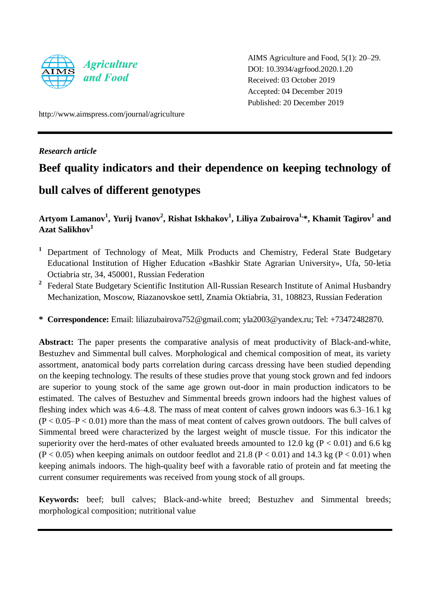

AIMS Agriculture and Food, 5(1): 20–29. DOI: 10.3934/agrfood.2020.1.20 Received: 03 October 2019 Accepted: 04 December 2019 Published: 20 December 2019

http://www.aimspress.com/journal/agriculture

## *Research article*

# **Beef quality indicators and their dependence on keeping technology of**

# **bull calves of different genotypes**

**Artyom Lamanov<sup>1</sup> , Yurij Ivanov<sup>2</sup> , Rishat Iskhakov<sup>1</sup> , Liliya Zubairova1, \*, Khamit Tagirov<sup>1</sup> and Azat Salikhov<sup>1</sup>**

- **<sup>1</sup>** Department of Technology of Meat, Milk Products and Chemistry, Federal State Budgetary Educational Institution of Higher Education «Bashkir State Agrarian University», Ufa, 50-letia Octiabria str, 34, 450001, Russian Federation
- <sup>2</sup> Federal State Budgetary Scientific Institution All-Russian Research Institute of Animal Husbandry Mechanization, Moscow, Riazanovskoe settl, Znamia Oktiabria, 31, 108823, Russian Federation
- **\* Correspondence:** Email: [liliazubairova752@gmail.com;](mailto:liliazubairova752@gmail.com) [yla2003@yandex.ru;](mailto:yla2003@yandex.ru) Tel: +73472482870.

**Abstract:** The paper presents the comparative analysis of meat productivity of Black-and-white, Bestuzhev and Simmental bull calves. Morphological and chemical composition of meat, its variety assortment, anatomical body parts correlation during carcass dressing have been studied depending on the keeping technology. The results of these studies prove that young stock grown and fed indoors are superior to young stock of the same age grown out-door in main production indicators to be estimated. The calves of Bestuzhev and Simmental breeds grown indoors had the highest values of fleshing index which was 4.6–4.8. The mass of meat content of calves grown indoors was 6.3–16.1 kg  $(P < 0.05-P < 0.01)$  more than the mass of meat content of calves grown outdoors. The bull calves of Simmental breed were characterized by the largest weight of muscle tissue. For this indicator the superiority over the herd-mates of other evaluated breeds amounted to 12.0 kg ( $P < 0.01$ ) and 6.6 kg  $(P < 0.05)$  when keeping animals on outdoor feedlot and 21.8 (P < 0.01) and 14.3 kg (P < 0.01) when keeping animals indoors. The high-quality beef with a favorable ratio of protein and fat meeting the current consumer requirements was received from young stock of all groups.

**Keywords:** beef; bull calves; Black-and-white breed; Bestuzhev and Simmental breeds; morphological composition; nutritional value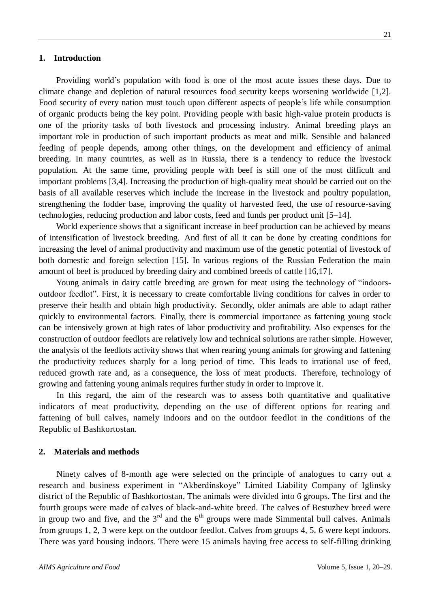#### **1. Introduction**

Providing world's population with food is one of the most acute issues these days. Due to climate change and depletion of natural resources food security keeps worsening worldwide [1,2]. Food security of every nation must touch upon different aspects of people's life while consumption of organic products being the key point. Providing people with basic high-value protein products is one of the priority tasks of both livestock and processing industry. Animal breeding plays an important role in production of such important products as meat and milk. Sensible and balanced feeding of people depends, among other things, on the development and efficiency of animal breeding. In many countries, as well as in Russia, there is a tendency to reduce the livestock population. At the same time, providing people with beef is still one of the most difficult and important problems [3,4]. Increasing the production of high-quality meat should be carried out on the basis of all available reserves which include the increase in the livestock and poultry population, strengthening the fodder base, improving the quality of harvested feed, the use of resource-saving technologies, reducing production and labor costs, feed and funds per product unit [5–14].

World experience shows that a significant increase in beef production can be achieved by means of intensification of livestock breeding. And first of all it can be done by creating conditions for increasing the level of animal productivity and maximum use of the genetic potential of livestock of both domestic and foreign selection [15]. In various regions of the Russian Federation the main amount of beef is produced by breeding dairy and combined breeds of cattle [16,17].

Young animals in dairy cattle breeding are grown for meat using the technology of "indoorsoutdoor feedlot". First, it is necessary to create comfortable living conditions for calves in order to preserve their health and obtain high productivity. Secondly, older animals are able to adapt rather quickly to environmental factors. Finally, there is commercial importance as fattening young stock can be intensively grown at high rates of labor productivity and profitability. Also expenses for the construction of outdoor feedlots are relatively low and technical solutions are rather simple. However, the analysis of the feedlots activity shows that when rearing young animals for growing and fattening the productivity reduces sharply for a long period of time. This leads to irrational use of feed, reduced growth rate and, as a consequence, the loss of meat products. Therefore, technology of growing and fattening young animals requires further study in order to improve it.

In this regard, the aim of the research was to assess both quantitative and qualitative indicators of meat productivity, depending on the use of different options for rearing and fattening of bull calves, namely indoors and on the outdoor feedlot in the conditions of the Republic of Bashkortostan.

#### **2. Materials and methods**

Ninety calves of 8-month age were selected on the principle of analogues to carry out a research and business experiment in "Akberdinskoye" Limited Liability Company of Iglinsky district of the Republic of Bashkortostan. The animals were divided into 6 groups. The first and the fourth groups were made of calves of black-and-white breed. The calves of Bestuzhev breed were in group two and five, and the  $3<sup>rd</sup>$  and the  $6<sup>th</sup>$  groups were made Simmental bull calves. Animals from groups 1, 2, 3 were kept on the outdoor feedlot. Calves from groups 4, 5, 6 were kept indoors. There was yard housing indoors. There were 15 animals having free access to self-filling drinking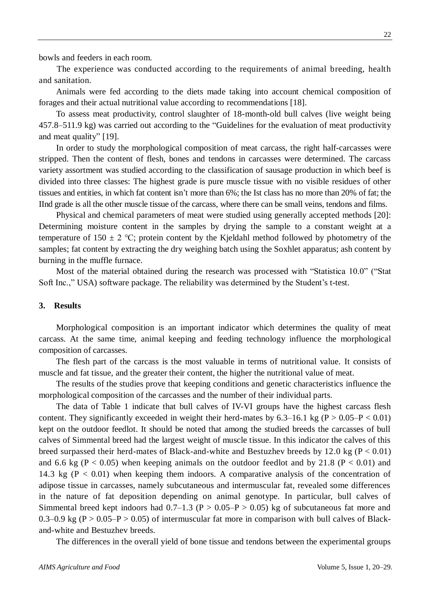bowls and feeders in each room.

The experience was conducted according to the requirements of animal breeding, health and sanitation.

Animals were fed according to the diets made taking into account chemical composition of forages and their actual nutritional value according to recommendations [18].

To assess meat productivity, control slaughter of 18-month-old bull calves (live weight being 457.8–511.9 kg) was carried out according to the "Guidelines for the evaluation of meat productivity and meat quality" [19].

In order to study the morphological composition of meat carcass, the right half-carcasses were stripped. Then the content of flesh, bones and tendons in carcasses were determined. The carcass variety assortment was studied according to the classification of sausage production in which beef is divided into three classes: The highest grade is pure muscle tissue with no visible residues of other tissues and entities, in which fat content isn't more than 6%; the Ist class has no more than 20% of fat; the IInd grade is all the other muscle tissue of the carcass, where there can be small veins, tendons and films.

Physical and chemical parameters of meat were studied using generally accepted methods [20]: Determining moisture content in the samples by drying the sample to a constant weight at a temperature of 150  $\pm$  2 °C; protein content by the Kjeldahl method followed by photometry of the samples; fat content by extracting the dry weighing batch using the Soxhlet apparatus; ash content by burning in the muffle furnace.

Most of the material obtained during the research was processed with "Statistica 10.0" ("Stat Soft Inc.," USA) software package. The reliability was determined by the Student's t-test.

#### **3. Results**

Morphological composition is an important indicator which determines the quality of meat carcass. At the same time, animal keeping and feeding technology influence the morphological composition of carcasses.

The flesh part of the carcass is the most valuable in terms of nutritional value. It consists of muscle and fat tissue, and the greater their content, the higher the nutritional value of meat.

The results of the studies prove that keeping conditions and genetic characteristics influence the morphological composition of the carcasses and the number of their individual parts.

The data of Table 1 indicate that bull calves of IV-VI groups have the highest carcass flesh content. They significantly exceeded in weight their herd-mates by  $6.3-16.1$  kg ( $P > 0.05-P < 0.01$ ) kept on the outdoor feedlot. It should be noted that among the studied breeds the carcasses of bull calves of Simmental breed had the largest weight of muscle tissue. In this indicator the calves of this breed surpassed their herd-mates of Black-and-white and Bestuzhev breeds by 12.0 kg ( $P < 0.01$ ) and 6.6 kg (P < 0.05) when keeping animals on the outdoor feedlot and by 21.8 (P < 0.01) and 14.3 kg ( $P < 0.01$ ) when keeping them indoors. A comparative analysis of the concentration of adipose tissue in carcasses, namely subcutaneous and intermuscular fat, revealed some differences in the nature of fat deposition depending on animal genotype. In particular, bull calves of Simmental breed kept indoors had  $0.7-1.3$  (P > 0.05–P > 0.05) kg of subcutaneous fat more and 0.3–0.9 kg ( $P > 0.05$ – $P > 0.05$ ) of intermuscular fat more in comparison with bull calves of Blackand-white and Bestuzhev breeds.

The differences in the overall yield of bone tissue and tendons between the experimental groups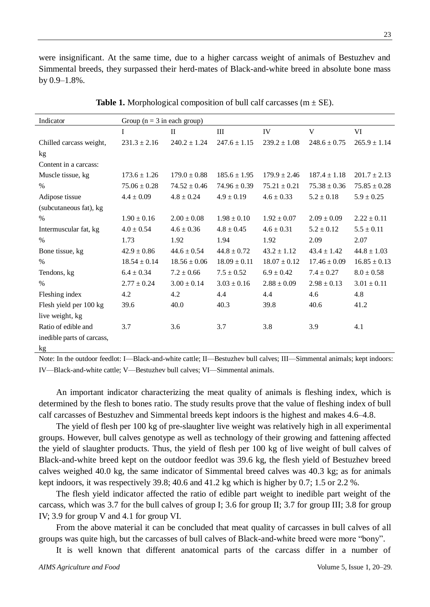were insignificant. At the same time, due to a higher carcass weight of animals of Bestuzhev and Simmental breeds, they surpassed their herd-mates of Black-and-white breed in absolute bone mass by  $0.9-1.8\%$ .

| Indicator                  | Group ( $n = 3$ in each group) |                  |                  |                  |                  |                  |  |
|----------------------------|--------------------------------|------------------|------------------|------------------|------------------|------------------|--|
|                            | I                              | $\mathbf{I}$     | III              | IV               | $\mathbf{V}$     | VI               |  |
| Chilled carcass weight,    | $231.3 \pm 2.16$               | $240.2 \pm 1.24$ | $247.6 \pm 1.15$ | $239.2 \pm 1.08$ | $248.6 \pm 0.75$ | $265.9 \pm 1.14$ |  |
| kg                         |                                |                  |                  |                  |                  |                  |  |
| Content in a carcass:      |                                |                  |                  |                  |                  |                  |  |
| Muscle tissue, kg          | $173.6 \pm 1.26$               | $179.0 \pm 0.88$ | $185.6 \pm 1.95$ | $179.9 \pm 2.46$ | $187.4 \pm 1.18$ | $201.7 \pm 2.13$ |  |
| $\%$                       | $75.06 \pm 0.28$               | $74.52 \pm 0.46$ | $74.96 \pm 0.39$ | $75.21 \pm 0.21$ | $75.38 \pm 0.36$ | $75.85 \pm 0.28$ |  |
| Adipose tissue             | $4.4 \pm 0.09$                 | $4.8 \pm 0.24$   | $4.9 \pm 0.19$   | $4.6 \pm 0.33$   | $5.2 \pm 0.18$   | $5.9 \pm 0.25$   |  |
| (subcutaneous fat), kg     |                                |                  |                  |                  |                  |                  |  |
| $\%$                       | $1.90 \pm 0.16$                | $2.00 \pm 0.08$  | $1.98 \pm 0.10$  | $1.92 \pm 0.07$  | $2.09 \pm 0.09$  | $2.22 \pm 0.11$  |  |
| Intermuscular fat, kg      | $4.0 \pm 0.54$                 | $4.6 \pm 0.36$   | $4.8 \pm 0.45$   | $4.6 \pm 0.31$   | $5.2 \pm 0.12$   | $5.5 \pm 0.11$   |  |
| $\%$                       | 1.73                           | 1.92             | 1.94             | 1.92             | 2.09             | 2.07             |  |
| Bone tissue, kg            | $42.9 \pm 0.86$                | $44.6 \pm 0.54$  | $44.8 \pm 0.72$  | $43.2 \pm 1.12$  | $43.4 \pm 1.42$  | $44.8 \pm 1.03$  |  |
| $\%$                       | $18.54 \pm 0.14$               | $18.56 \pm 0.06$ | $18.09 \pm 0.11$ | $18.07 \pm 0.12$ | $17.46 \pm 0.09$ | $16.85 \pm 0.13$ |  |
| Tendons, kg                | $6.4 \pm 0.34$                 | $7.2 \pm 0.66$   | $7.5 \pm 0.52$   | $6.9 \pm 0.42$   | $7.4 \pm 0.27$   | $8.0 \pm 0.58$   |  |
| $\%$                       | $2.77 \pm 0.24$                | $3.00 \pm 0.14$  | $3.03 \pm 0.16$  | $2.88 \pm 0.09$  | $2.98 \pm 0.13$  | $3.01 \pm 0.11$  |  |
| Fleshing index             | 4.2                            | 4.2              | 4.4              | 4.4              | 4.6              | 4.8              |  |
| Flesh yield per 100 kg     | 39.6                           | 40.0             | 40.3             | 39.8             | 40.6             | 41.2             |  |
| live weight, kg            |                                |                  |                  |                  |                  |                  |  |
| Ratio of edible and        | 3.7                            | 3.6              | 3.7              | 3.8              | 3.9              | 4.1              |  |
| inedible parts of carcass, |                                |                  |                  |                  |                  |                  |  |
| kg                         |                                |                  |                  |                  |                  |                  |  |

**Table 1.** Morphological composition of bull calf carcasses ( $m \pm SE$ ).

Note: In the outdoor feedlot: I—Black-and-white cattle; II—Bestuzhev bull calves; III—Simmental animals; kept indoors: IV—Black-and-white cattle; V—Bestuzhev bull calves; VI—Simmental animals.

An important indicator characterizing the meat quality of animals is fleshing index, which is determined by the flesh to bones ratio. The study results prove that the value of fleshing index of bull calf carcasses of Bestuzhev and Simmental breeds kept indoors is the highest and makes 4.6–4.8.

The yield of flesh per 100 kg of pre-slaughter live weight was relatively high in all experimental groups. However, bull calves genotype as well as technology of their growing and fattening affected the yield of slaughter products. Thus, the yield of flesh per 100 kg of live weight of bull calves of Black-and-white breed kept on the outdoor feedlot was 39.6 kg, the flesh yield of Bestuzhev breed calves weighed 40.0 kg, the same indicator of Simmental breed calves was 40.3 kg; as for animals kept indoors, it was respectively 39.8; 40.6 and 41.2 kg which is higher by 0.7; 1.5 or 2.2 %.

The flesh yield indicator affected the ratio of edible part weight to inedible part weight of the carcass, which was 3.7 for the bull calves of group I; 3.6 for group II; 3.7 for group III; 3.8 for group IV; 3.9 for group V and 4.1 for group VI.

From the above material it can be concluded that meat quality of carcasses in bull calves of all groups was quite high, but the carcasses of bull calves of Black-and-white breed were more "bony".

It is well known that different anatomical parts of the carcass differ in a number of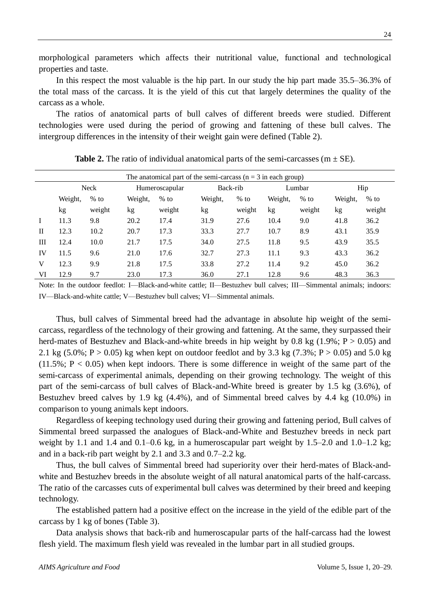morphological parameters which affects their nutritional value, functional and technological properties and taste.

In this respect the most valuable is the hip part. In our study the hip part made 35.5–36.3% of the total mass of the carcass. It is the yield of this cut that largely determines the quality of the carcass as a whole.

The ratios of anatomical parts of bull calves of different breeds were studied. Different technologies were used during the period of growing and fattening of these bull calves. The intergroup differences in the intensity of their weight gain were defined (Table 2).

| The anatomical part of the semi-carcass $(n = 3$ in each group) |         |        |                |        |          |        |         |        |         |        |
|-----------------------------------------------------------------|---------|--------|----------------|--------|----------|--------|---------|--------|---------|--------|
|                                                                 | Neck    |        | Humeroscapular |        | Back-rib |        | Lumbar  |        | Hip     |        |
|                                                                 | Weight, | $%$ to | Weight,        | $%$ to | Weight,  | $%$ to | Weight, | $%$ to | Weight, | $%$ to |
|                                                                 | kg      | weight | kg             | weight | kg       | weight | kg      | weight | kg      | weight |
|                                                                 | 11.3    | 9.8    | 20.2           | 17.4   | 31.9     | 27.6   | 10.4    | 9.0    | 41.8    | 36.2   |
| $_{\rm II}$                                                     | 12.3    | 10.2   | 20.7           | 17.3   | 33.3     | 27.7   | 10.7    | 8.9    | 43.1    | 35.9   |
| Ш                                                               | 12.4    | 10.0   | 21.7           | 17.5   | 34.0     | 27.5   | 11.8    | 9.5    | 43.9    | 35.5   |
| IV                                                              | 11.5    | 9.6    | 21.0           | 17.6   | 32.7     | 27.3   | 11.1    | 9.3    | 43.3    | 36.2   |
| V                                                               | 12.3    | 9.9    | 21.8           | 17.5   | 33.8     | 27.2   | 11.4    | 9.2    | 45.0    | 36.2   |
| VI                                                              | 12.9    | 9.7    | 23.0           | 17.3   | 36.0     | 27.1   | 12.8    | 9.6    | 48.3    | 36.3   |

**Table 2.** The ratio of individual anatomical parts of the semi-carcasses ( $m \pm SE$ ).

Note: In the outdoor feedlot: I—Black-and-white cattle; II—Bestuzhev bull calves; III—Simmental animals; indoors: IV—Black-and-white cattle; V—Bestuzhev bull calves; VI—Simmental animals.

Thus, bull calves of Simmental breed had the advantage in absolute hip weight of the semicarcass, regardless of the technology of their growing and fattening. At the same, they surpassed their herd-mates of Bestuzhev and Black-and-white breeds in hip weight by 0.8 kg  $(1.9\%; P > 0.05)$  and 2.1 kg  $(5.0\%; P > 0.05)$  kg when kept on outdoor feedlot and by 3.3 kg  $(7.3\%; P > 0.05)$  and 5.0 kg  $(11.5\%; P < 0.05)$  when kept indoors. There is some difference in weight of the same part of the semi-carcass of experimental animals, depending on their growing technology. The weight of this part of the semi-carcass of bull calves of Black-and-White breed is greater by 1.5 kg (3.6%), of Bestuzhev breed calves by 1.9 kg (4.4%), and of Simmental breed calves by 4.4 kg (10.0%) in comparison to young animals kept indoors.

Regardless of keeping technology used during their growing and fattening period, Bull calves of Simmental breed surpassed the analogues of Black-and-White and Bestuzhev breeds in neck part weight by 1.1 and 1.4 and 0.1–0.6 kg, in a humeroscapular part weight by 1.5–2.0 and 1.0–1.2 kg; and in a back-rib part weight by 2.1 and 3.3 and 0.7–2.2 kg.

Thus, the bull calves of Simmental breed had superiority over their herd-mates of Black-andwhite and Bestuzhev breeds in the absolute weight of all natural anatomical parts of the half-carcass. The ratio of the carcasses cuts of experimental bull calves was determined by their breed and keeping technology.

The established pattern had a positive effect on the increase in the yield of the edible part of the carcass by 1 kg of bones (Table 3).

Data analysis shows that back-rib and humeroscapular parts of the half-carcass had the lowest flesh yield. The maximum flesh yield was revealed in the lumbar part in all studied groups.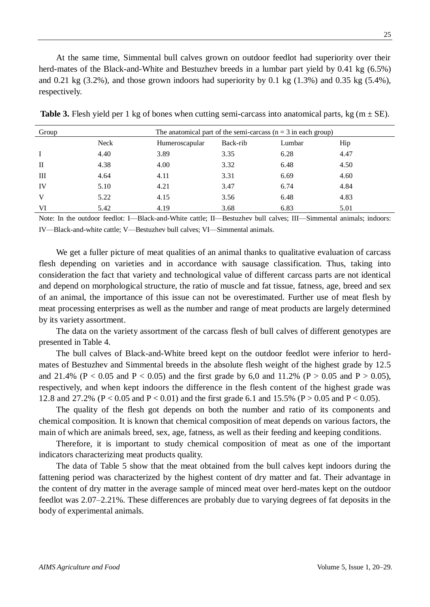At the same time, Simmental bull calves grown on outdoor feedlot had superiority over their herd-mates of the Black-and-White and Bestuzhev breeds in a lumbar part yield by 0.41 kg (6.5%) and  $0.21 \text{ kg } (3.2\%)$ , and those grown indoors had superiority by  $0.1 \text{ kg } (1.3\%)$  and  $0.35 \text{ kg } (5.4\%)$ , respectively.

| Group        |             | The anatomical part of the semi-carcass $(n = 3$ in each group) |          |        |      |  |
|--------------|-------------|-----------------------------------------------------------------|----------|--------|------|--|
|              | <b>Neck</b> | Humeroscapular                                                  | Back-rib | Lumbar | Hip  |  |
| $\mathbf{I}$ | 4.40        | 3.89                                                            | 3.35     | 6.28   | 4.47 |  |
| $\rm{II}$    | 4.38        | 4.00                                                            | 3.32     | 6.48   | 4.50 |  |
| Ш            | 4.64        | 4.11                                                            | 3.31     | 6.69   | 4.60 |  |
| IV           | 5.10        | 4.21                                                            | 3.47     | 6.74   | 4.84 |  |
| V            | 5.22        | 4.15                                                            | 3.56     | 6.48   | 4.83 |  |
| VI           | 5.42        | 4.19                                                            | 3.68     | 6.83   | 5.01 |  |

**Table 3.** Flesh yield per 1 kg of bones when cutting semi-carcass into anatomical parts, kg (m  $\pm$  SE).

Note: In the outdoor feedlot: I—Black-and-White cattle; II—Bestuzhev bull calves; III—Simmental animals; indoors: IV—Black-and-white cattle; V—Bestuzhev bull calves; VI—Simmental animals.

We get a fuller picture of meat qualities of an animal thanks to qualitative evaluation of carcass flesh depending on varieties and in accordance with sausage classification. Thus, taking into consideration the fact that variety and technological value of different carcass parts are not identical and depend on morphological structure, the ratio of muscle and fat tissue, fatness, age, breed and sex of an animal, the importance of this issue can not be overestimated. Further use of meat flesh by meat processing enterprises as well as the number and range of meat products are largely determined by its variety assortment.

The data on the variety assortment of the carcass flesh of bull calves of different genotypes are presented in Table 4.

The bull calves of Black-and-White breed kept on the outdoor feedlot were inferior to herdmates of Bestuzhev and Simmental breeds in the absolute flesh weight of the highest grade by 12.5 and 21.4% (P < 0.05 and P < 0.05) and the first grade by 6.0 and 11.2% (P > 0.05 and P > 0.05). respectively, and when kept indoors the difference in the flesh content of the highest grade was 12.8 and 27.2% (P < 0.05 and P < 0.01) and the first grade 6.1 and 15.5% (P > 0.05 and P < 0.05).

The quality of the flesh got depends on both the number and ratio of its components and chemical composition. It is known that chemical composition of meat depends on various factors, the main of which are animals breed, sex, age, fatness, as well as their feeding and keeping conditions.

Therefore, it is important to study chemical composition of meat as one of the important indicators characterizing meat products quality.

The data of Table 5 show that the meat obtained from the bull calves kept indoors during the fattening period was characterized by the highest content of dry matter and fat. Their advantage in the content of dry matter in the average sample of minced meat over herd-mates kept on the outdoor feedlot was 2.07–2.21%. These differences are probably due to varying degrees of fat deposits in the body of experimental animals.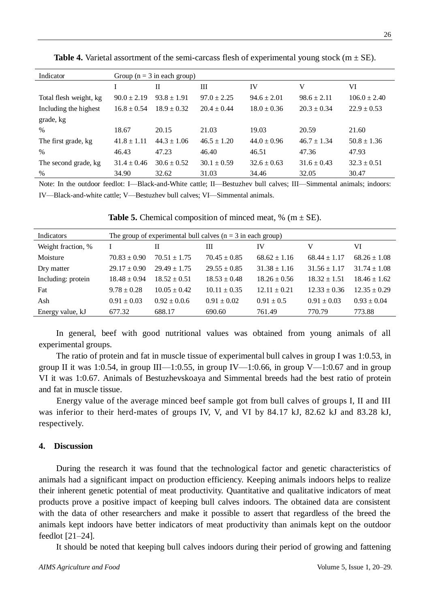| Indicator              | Group ( $n = 3$ in each group) |                 |                 |                 |                 |                  |  |
|------------------------|--------------------------------|-----------------|-----------------|-----------------|-----------------|------------------|--|
|                        |                                | $_{\rm II}$     | Ш               | IV              | V               | VI               |  |
| Total flesh weight, kg | $90.0 \pm 2.19$                | $93.8 \pm 1.91$ | $97.0 \pm 2.25$ | $94.6 \pm 2.01$ | $98.6 \pm 2.11$ | $106.0 \pm 2.40$ |  |
| Including the highest  | $16.8 \pm 0.54$                | $18.9 \pm 0.32$ | $20.4 \pm 0.44$ | $18.0 \pm 0.36$ | $20.3 \pm 0.34$ | $22.9 \pm 0.53$  |  |
| grade, kg              |                                |                 |                 |                 |                 |                  |  |
| $\%$                   | 18.67                          | 20.15           | 21.03           | 19.03           | 20.59           | 21.60            |  |
| The first grade, kg    | $41.8 \pm 1.11$                | $44.3 \pm 1.06$ | $46.5 \pm 1.20$ | $44.0 \pm 0.96$ | $46.7 \pm 1.34$ | $50.8 \pm 1.36$  |  |
| $\%$                   | 46.43                          | 47.23           | 46.40           | 46.51           | 47.36           | 47.93            |  |
| The second grade, kg   | $31.4 \pm 0.46$                | $30.6 \pm 0.52$ | $30.1 \pm 0.59$ | $32.6 \pm 0.63$ | $31.6 \pm 0.43$ | $32.3 \pm 0.51$  |  |
| %                      | 34.90                          | 32.62           | 31.03           | 34.46           | 32.05           | 30.47            |  |

**Table 4.** Varietal assortment of the semi-carcass flesh of experimental young stock  $(m \pm SE)$ .

Note: In the outdoor feedlot: I—Black-and-White cattle; II—Bestuzhev bull calves; III—Simmental animals; indoors: IV—Black-and-white cattle; V—Bestuzhev bull calves; VI—Simmental animals.

| Indicators         | The group of experimental bull calves $(n = 3$ in each group) |                  |                  |                  |                  |                  |  |  |
|--------------------|---------------------------------------------------------------|------------------|------------------|------------------|------------------|------------------|--|--|
| Weight fraction, % |                                                               | Н                | Ш                | IV               | v                | VI               |  |  |
| Moisture           | $70.83 \pm 0.90$                                              | $70.51 \pm 1.75$ | $70.45 \pm 0.85$ | $68.62 \pm 1.16$ | $68.44 \pm 1.17$ | $68.26 \pm 1.08$ |  |  |
| Dry matter         | $29.17 \pm 0.90$                                              | $29.49 \pm 1.75$ | $29.55 \pm 0.85$ | $31.38 \pm 1.16$ | $31.56 \pm 1.17$ | $31.74 \pm 1.08$ |  |  |
| Including: protein | $18.48 \pm 0.94$                                              | $18.52 \pm 0.51$ | $18.53 \pm 0.48$ | $18.26 \pm 0.56$ | $18.32 \pm 1.51$ | $18.46 \pm 1.62$ |  |  |
| Fat                | $9.78 \pm 0.28$                                               | $10.05 \pm 0.42$ | $10.11 \pm 0.35$ | $12.11 \pm 0.21$ | $12.33 \pm 0.36$ | $12.35 \pm 0.29$ |  |  |
| Ash                | $0.91 \pm 0.03$                                               | $0.92 \pm 0.06$  | $0.91 \pm 0.02$  | $0.91 \pm 0.5$   | $0.91 \pm 0.03$  | $0.93 \pm 0.04$  |  |  |
| Energy value, kJ   | 677.32                                                        | 688.17           | 690.60           | 761.49           | 770.79           | 773.88           |  |  |

**Table 5.** Chemical composition of minced meat,  $\%$  (m  $\pm$  SE).

In general, beef with good nutritional values was obtained from young animals of all experimental groups.

The ratio of protein and fat in muscle tissue of experimental bull calves in group I was 1:0.53, in group II it was 1:0.54, in group III—1:0.55, in group IV—1:0.66, in group V—1:0.67 and in group VI it was 1:0.67. Animals of Bestuzhevskoaya and Simmental breeds had the best ratio of protein and fat in muscle tissue.

Energy value of the average minced beef sample got from bull calves of groups I, II and III was inferior to their herd-mates of groups IV, V, and VI by 84.17 kJ, 82.62 kJ and 83.28 kJ, respectively.

#### **4. Discussion**

During the research it was found that the technological factor and genetic characteristics of animals had a significant impact on production efficiency. Keeping animals indoors helps to realize their inherent genetic potential of meat productivity. Quantitative and qualitative indicators of meat products prove a positive impact of keeping bull calves indoors. The obtained data are consistent with the data of other researchers and make it possible to assert that regardless of the breed the animals kept indoors have better indicators of meat productivity than animals kept on the outdoor feedlot [21–24].

It should be noted that keeping bull calves indoors during their period of growing and fattening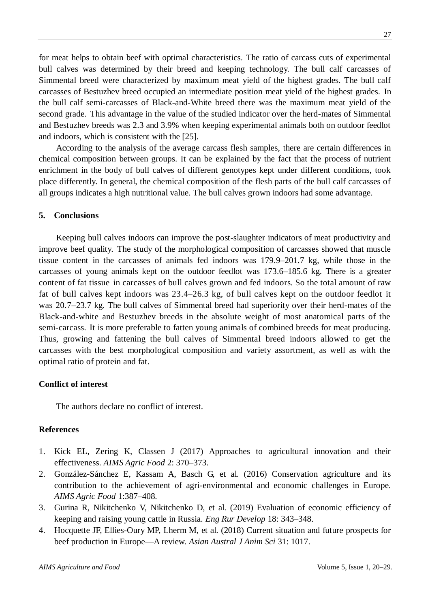for meat helps to obtain beef with optimal characteristics. The ratio of carcass cuts of experimental bull calves was determined by their breed and keeping technology. The bull calf carcasses of Simmental breed were characterized by maximum meat yield of the highest grades. The bull calf carcasses of Bestuzhev breed occupied an intermediate position meat yield of the highest grades. In the bull calf semi-carcasses of Black-and-White breed there was the maximum meat yield of the second grade. This advantage in the value of the studied indicator over the herd-mates of Simmental and Bestuzhev breeds was 2.3 and 3.9% when keeping experimental animals both on outdoor feedlot and indoors, which is consistent with the [25].

According to the analysis of the average carcass flesh samples, there are certain differences in chemical composition between groups. It can be explained by the fact that the process of nutrient enrichment in the body of bull calves of different genotypes kept under different conditions, took place differently. In general, the chemical composition of the flesh parts of the bull calf carcasses of all groups indicates a high nutritional value. The bull calves grown indoors had some advantage.

### **5. Conclusions**

Keeping bull calves indoors can improve the post-slaughter indicators of meat productivity and improve beef quality. The study of the morphological composition of carcasses showed that muscle tissue content in the carcasses of animals fed indoors was 179.9–201.7 kg, while those in the carcasses of young animals kept on the outdoor feedlot was 173.6–185.6 kg. There is a greater content of fat tissue in carcasses of bull calves grown and fed indoors. So the total amount of raw fat of bull calves kept indoors was 23.4–26.3 kg, of bull calves kept on the outdoor feedlot it was 20.7–23.7 kg. The bull calves of Simmental breed had superiority over their herd-mates of the Black-and-white and Bestuzhev breeds in the absolute weight of most anatomical parts of the semi-carcass. It is more preferable to fatten young animals of combined breeds for meat producing. Thus, growing and fattening the bull calves of Simmental breed indoors allowed to get the carcasses with the best morphological composition and variety assortment, as well as with the optimal ratio of protein and fat.

#### **Conflict of interest**

The authors declare no conflict of interest.

### **References**

- 1. Kick EL, Zering K, Classen J (2017) Approaches to agricultural innovation and their effectiveness. *AIMS Agric Food* 2: 370–373.
- 2. González-Sánchez E, Kassam A, Basch G, et al. (2016) Conservation agriculture and its contribution to the achievement of agri-environmental and economic challenges in Europe. *AIMS Agric Food* 1:387–408.
- 3. Gurina R, Nikitchenko V, Nikitchenko D, et al. (2019) Evaluation of economic efficiency of keeping and raising young cattle in Russia. *Eng Rur Develop* 18: 343–348.
- 4. Hocquette JF, Ellies-Oury MP, Lherm M, et al. (2018) Current situation and future prospects for beef production in Europe—A review. *Asian Austral J Anim Sci* 31: 1017.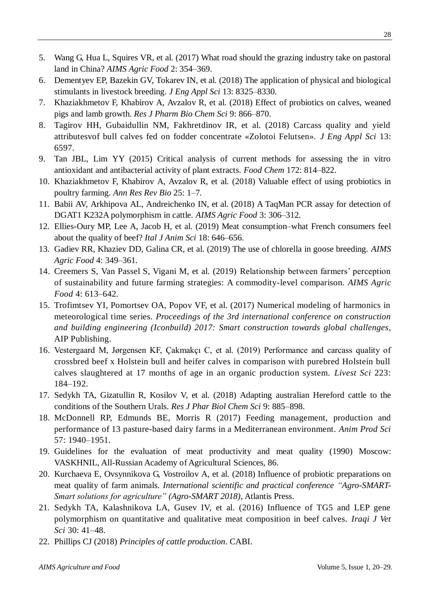- 5. Wang G, Hua L, Squires VR, et al. (2017) What road should the grazing industry take on pastoral land in China? *AIMS Agric Food* 2: 354–369.
- 6. Dementyev EP, Bazekin GV, Tokarev IN, et al. (2018) The application of physical and biological stimulants in livestock breeding. *J Eng Appl Sci* 13: 8325–8330.
- 7. Khaziakhmetov F, Khabirov A, Avzalov R, et al. (2018) Effect of probiotics on calves, weaned pigs and lamb growth. *Res J Pharm Bio Chem Sci* 9: 866–870.
- 8. Tagirov HH, Gubaidullin NM, Fakhretdinov IR, et al. (2018) Carcass quality and yield attributesvof bull calves fed on fodder concentrate «Zolotoi Felutsen». *J Eng Appl Sci* 13: 6597.
- 9. Tan JBL, Lim YY (2015) Critical analysis of current methods for assessing the in vitro antioxidant and antibacterial activity of plant extracts. *Food Chem* 172: 814–822.
- 10. Khaziakhmetov F, Khabirov A, Avzalov R, et al. (2018) Valuable effect of using probiotics in poultry farming. *Ann Res Rev Bio* 25: 1–7.
- 11. Babii AV, Arkhipova AL, Andreichenko IN, et al. (2018) A TaqMan PCR assay for detection of DGAT1 K232A polymorphism in cattle. *AIMS Agric Food* 3: 306–312.
- 12. Ellies-Oury MP, Lee A, Jacob H, et al. (2019) Meat consumption–what French consumers feel about the quality of beef? *Ital J Anim Sci* 18: 646–656.
- 13. Gadiev RR, Khaziev DD, Galina CR, et al. (2019) The use of chlorella in goose breeding. *AIMS Agric Food* 4: 349–361.
- 14. Creemers S, Van Passel S, Vigani M, et al. (2019) Relationship between farmers' perception of sustainability and future farming strategies: A commodity-level comparison. *AIMS Agric Food* 4: 613–642.
- 15. Trofimtsev YI, Pomortsev OA, Popov VF, et al. (2017) Numerical modeling of harmonics in meteorological time series. *Proceedings of the 3rd international conference on construction and building engineering (Iconbuild) 2017: Smart construction towards global challenges,* AIP Publishing.
- 16. Vestergaard M, Jørgensen KF, Çakmakçı C, et al. (2019) Performance and carcass quality of crossbred beef x Holstein bull and heifer calves in comparison with purebred Holstein bull calves slaughtered at 17 months of age in an organic production system. *Livest Sci* 223: 184–192.
- 17. Sedykh TA, Gizatullin R, Kosilov V, et al. (2018) Adapting australian Hereford cattle to the conditions of the Southern Urals. *Res J Phar Biol Chem Sci* 9: 885–898.
- 18. McDonnell RP, Edmunds BE, Morris R (2017) Feeding management, production and performance of 13 pasture-based dairy farms in a Mediterranean environment. *Anim Prod Sci*  57: 1940–1951.
- 19. Guidelines for the evaluation of meat productivity and meat quality (1990) Moscow: VASKHNIL, All-Russian Academy of Agricultural Sciences, 86.
- 20. Kurchaeva E, Ovsynnikova G, Vostroilov A, et al. (2018) Influence of probiotic preparations on meat quality of farm animals. *International scientific and practical conference "Agro-SMART-Smart solutions for agriculture" (Agro-SMART 2018)*, Atlantis Press.
- 21. Sedykh TA, Kalashnikova LA, Gusev IV, et al. (2016) Influence of TG5 and LEP gene polymorphism on quantitative and qualitative meat composition in beef calves. *Iraqi J Vet Sci* 30: 41–48.
- 22. Phillips CJ (2018) *Principles of cattle production*. CABI.